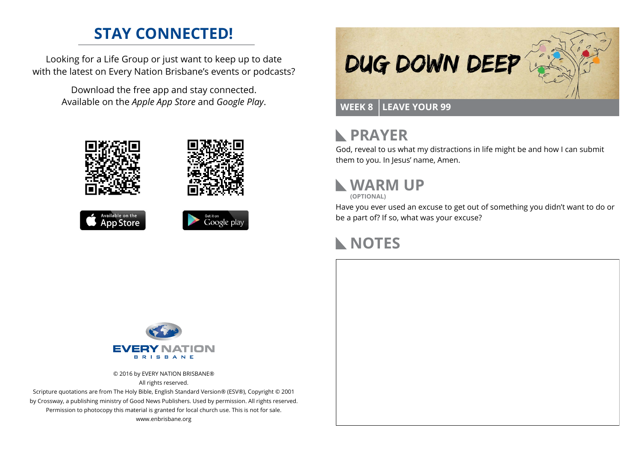### **STAY CONNECTED!**

Looking for a Life Group or just want to keep up to date with the latest on Every Nation Brisbane's events or podcasts?

> Download the free app and stay connected. Available on the *Apple App Store* and *Google Play*.





```
Available on the<br>App Store
```




#### **PRAYER**  $\mathbb{R}$

God, reveal to us what my distractions in life might be and how I can submit them to you. In Jesus' name, Amen.

# **WARM UP**

**(OPTIONAL)**

Have you ever used an excuse to get out of something you didn't want to do or be a part of? If so, what was your excuse?

# **NOTES**



© 2016 by EVERY NATION BRISBANE® All rights reserved.

Scripture quotations are from The Holy Bible, English Standard Version® (ESV®), Copyright © 2001 by Crossway, a publishing ministry of Good News Publishers. Used by permission. All rights reserved. Permission to photocopy this material is granted for local church use. This is not for sale. www.enbrisbane.org